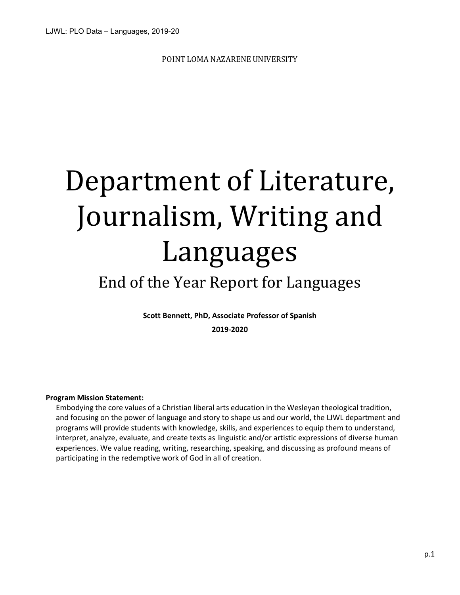POINT LOMA NAZARENE UNIVERSITY

# Department of Literature, Journalism, Writing and Languages

## End of the Year Report for Languages

**Scott Bennett, PhD, Associate Professor of Spanish 2019-2020**

## **Program Mission Statement:**

Embodying the core values of a Christian liberal arts education in the Wesleyan theological tradition, and focusing on the power of language and story to shape us and our world, the LJWL department and programs will provide students with knowledge, skills, and experiences to equip them to understand, interpret, analyze, evaluate, and create texts as linguistic and/or artistic expressions of diverse human experiences. We value reading, writing, researching, speaking, and discussing as profound means of participating in the redemptive work of God in all of creation.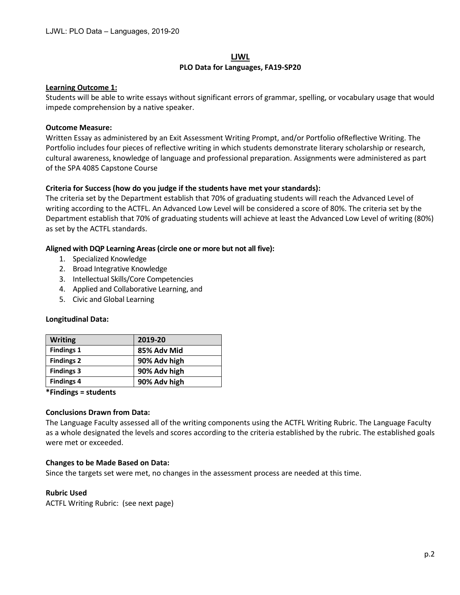## **LJWL PLO Data for Languages, FA19-SP20**

## **Learning Outcome 1:**

Students will be able to write essays without significant errors of grammar, spelling, or vocabulary usage that would impede comprehension by a native speaker.

## **Outcome Measure:**

Written Essay as administered by an Exit Assessment Writing Prompt, and/or Portfolio ofReflective Writing. The Portfolio includes four pieces of reflective writing in which students demonstrate literary scholarship or research, cultural awareness, knowledge of language and professional preparation. Assignments were administered as part of the SPA 4085 Capstone Course

## **Criteria for Success (how do you judge if the students have met your standards):**

The criteria set by the Department establish that 70% of graduating students will reach the Advanced Level of writing according to the ACTFL. An Advanced Low Level will be considered a score of 80%. The criteria set by the Department establish that 70% of graduating students will achieve at least the Advanced Low Level of writing (80%) as set by the ACTFL standards.

## **Aligned with DQP Learning Areas (circle one or more but not all five):**

- 1. Specialized Knowledge
- 2. Broad Integrative Knowledge
- 3. Intellectual Skills/Core Competencies
- 4. Applied and Collaborative Learning, and
- 5. Civic and Global Learning

## **Longitudinal Data:**

| <b>Writing</b>    | 2019-20      |
|-------------------|--------------|
| <b>Findings 1</b> | 85% Adv Mid  |
| <b>Findings 2</b> | 90% Adv high |
| <b>Findings 3</b> | 90% Adv high |
| <b>Findings 4</b> | 90% Adv high |

**\*Findings = students**

## **Conclusions Drawn from Data:**

The Language Faculty assessed all of the writing components using the ACTFL Writing Rubric. The Language Faculty as a whole designated the levels and scores according to the criteria established by the rubric. The established goals were met or exceeded.

## **Changes to be Made Based on Data:**

Since the targets set were met, no changes in the assessment process are needed at this time.

## **Rubric Used**

ACTFL Writing Rubric: (see next page)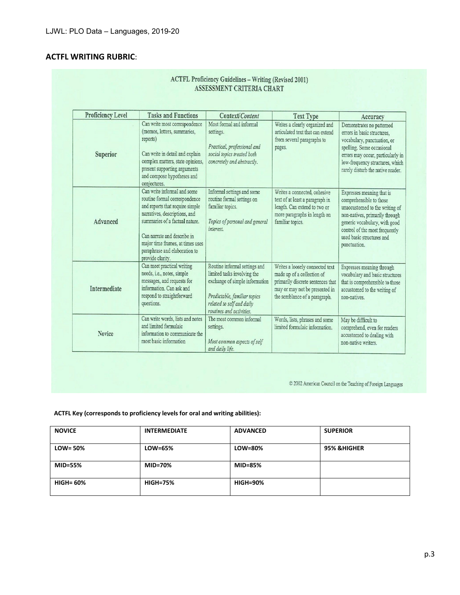## **ACTFL WRITING RUBRIC**:

| <b>Proficiency Level</b> | <b>Tasks and Functions</b>                                                                                                                                                                                                                                                                 | Context/Content                                                                                                                                                                         | <b>Text Type</b>                                                                                                                                                      | Accuracy                                                                                                                                                                                                                                 |
|--------------------------|--------------------------------------------------------------------------------------------------------------------------------------------------------------------------------------------------------------------------------------------------------------------------------------------|-----------------------------------------------------------------------------------------------------------------------------------------------------------------------------------------|-----------------------------------------------------------------------------------------------------------------------------------------------------------------------|------------------------------------------------------------------------------------------------------------------------------------------------------------------------------------------------------------------------------------------|
| Superior                 | Can write most correspondence<br>(memos, letters, summaries,<br>reports)<br>Can write in detail and explain<br>complex matters, state opinions,<br>present supporting arguments<br>and compose hypotheses and<br>conjectures.                                                              | Most formal and informal<br>settings.<br>Practical, professional and<br>social topics treated both<br>concretely and abstractly.                                                        | Writes a clearly organized and<br>articulated text that can extend<br>from several paragraphs to<br>pages.                                                            | Demonstrates no patterned<br>errors in basic structures,<br>vocabulary, punctuation, or<br>spelling. Some occasional<br>errors may occur, particularly in<br>low-frequency structures, which<br>rarely disturb the native reader.        |
| Advanced                 | Can write informal and some<br>routine formal correspondence<br>and reports that require simple<br>narratives, descriptions, and<br>summaries of a factual nature.<br>Can narrate and describe in<br>major time frames, at times uses<br>paraphrase and elaboration to<br>provide clarity. | Informal settings and some<br>routine formal settings on<br>familiar topics.<br>Topics of personal and general<br>interest.                                                             | Writes a connected, cohesive<br>text of at least a paragraph in<br>length. Can extend to two or<br>more paragraphs in length on<br>familiar topics.                   | Expresses meaning that is<br>comprehensible to those<br>unaccustomed to the writing of<br>non-natives, primarily through<br>generic vocabulary, with good<br>control of the most frequently<br>used basic structures and<br>punctuation. |
| Intermediate             | Can meet practical writing<br>needs, i.e., notes, simple<br>messages, and requests for<br>information. Can ask and<br>respond to straightforward<br>questions.                                                                                                                             | Routine informal settings and<br>limited tasks involving the<br>exchange of simple information<br>Predictable, familiar topics<br>related to self and daily<br>routines and activities. | Writes a loosely connected text<br>made up of a collection of<br>primarily discrete sentences that<br>may or may not be presented in<br>the semblance of a paragraph. | Expresses meaning through<br>vocabulary and basic structures<br>that is comprehensible to those<br>accustomed to the writing of<br>non-natives.                                                                                          |
| Novice                   | Can write words, lists and notes<br>and limited formulaic<br>information to communicate the<br>most basic information                                                                                                                                                                      | The most common informal<br>settings.<br>Most common aspects of self<br>and daily life.                                                                                                 | Words, lists, phrases and some<br>limited formulaic information.                                                                                                      | May be difficult to<br>comprehend, even for readers<br>accustomed to dealing with<br>non-native writers.                                                                                                                                 |

 $\copyright$  2002 American Council on the Teaching of Foreign Languages

## **ACTFL Key (corresponds to proficiency levels for oral and writing abilities):**

| <b>NOVICE</b>    | <b>INTERMEDIATE</b> | <b>ADVANCED</b> | <b>SUPERIOR</b>        |
|------------------|---------------------|-----------------|------------------------|
| $LOW = 50\%$     | LOW=65%             | LOW=80%         | <b>95% &amp;HIGHER</b> |
| <b>MID=55%</b>   | <b>MID=70%</b>      | <b>MID=85%</b>  |                        |
| <b>HIGH= 60%</b> | <b>HIGH=75%</b>     | <b>HIGH=90%</b> |                        |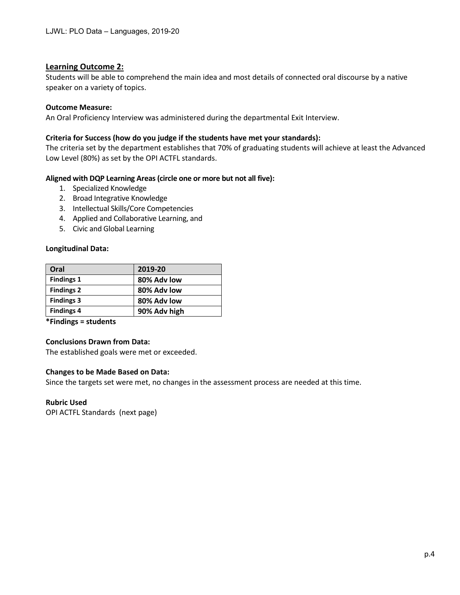## **Learning Outcome 2:**

Students will be able to comprehend the main idea and most details of connected oral discourse by a native speaker on a variety of topics.

## **Outcome Measure:**

An Oral Proficiency Interview was administered during the departmental Exit Interview.

## **Criteria for Success (how do you judge if the students have met your standards):**

The criteria set by the department establishes that 70% of graduating students will achieve at least the Advanced Low Level (80%) as set by the OPI ACTFL standards.

## **Aligned with DQP Learning Areas (circle one or more but not all five):**

- 1. Specialized Knowledge
- 2. Broad Integrative Knowledge
- 3. Intellectual Skills/Core Competencies
- 4. Applied and Collaborative Learning, and
- 5. Civic and Global Learning

## **Longitudinal Data:**

| Oral              | 2019-20      |
|-------------------|--------------|
| <b>Findings 1</b> | 80% Adv low  |
| <b>Findings 2</b> | 80% Adv low  |
| <b>Findings 3</b> | 80% Adv low  |
| <b>Findings 4</b> | 90% Adv high |

**\*Findings = students**

## **Conclusions Drawn from Data:**

The established goals were met or exceeded.

## **Changes to be Made Based on Data:**

Since the targets set were met, no changes in the assessment process are needed at this time.

## **Rubric Used**

OPI ACTFL Standards (next page)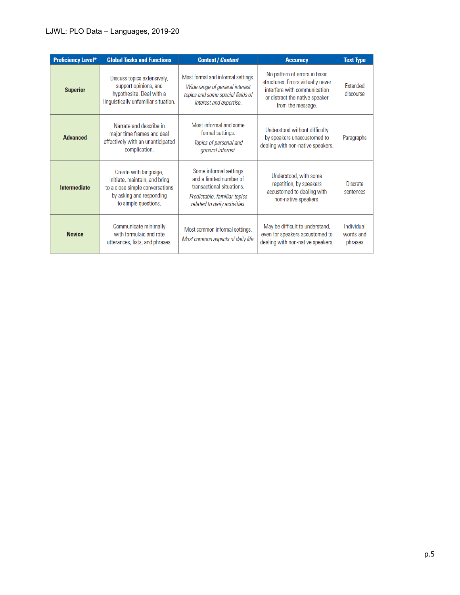## LJWL: PLO Data – Languages, 2019-20

| <b>Proficiency Level*</b> | <b>Global Tasks and Functions</b>                                                                                                             | <b>Context / Content</b>                                                                                                                       | <b>Accuracy</b>                                                                                                                                            | <b>Text Type</b>                   |
|---------------------------|-----------------------------------------------------------------------------------------------------------------------------------------------|------------------------------------------------------------------------------------------------------------------------------------------------|------------------------------------------------------------------------------------------------------------------------------------------------------------|------------------------------------|
| <b>Superior</b>           | Discuss topics extensively,<br>support opinions, and<br>hypothesize. Deal with a<br>linguistically unfamiliar situation.                      | Most formal and informal settings.<br>Wide range of general interest<br>topics and some special fields of<br>interest and expertise.           | No pattern of errors in basic<br>structures. Errors virtually never<br>interfere with communication<br>or distract the native speaker<br>from the message. | <b>Extended</b><br>discourse       |
| <b>Advanced</b>           | Narrate and describe in<br>major time frames and deal<br>effectively with an unanticipated<br>complication.                                   | Most informal and some<br>formal settings.<br>Topics of personal and<br>general interest.                                                      | Understood without difficulty<br>by speakers unaccustomed to<br>dealing with non-native speakers.                                                          | Paragraphs                         |
| <b>Intermediate</b>       | Create with language,<br>initiate, maintain, and bring<br>to a close simple conversations<br>by asking and responding<br>to simple questions. | Some informal settings<br>and a limited number of<br>transactional situations.<br>Predictable, familiar topics<br>related to daily activities. | Understood, with some<br>repetition, by speakers<br>accustomed to dealing with<br>non-native speakers.                                                     | <b>Discrete</b><br>sentences       |
| <b>Novice</b>             | Communicate minimally<br>with formulaic and rote<br>utterances, lists, and phrases.                                                           | Most common informal settings.<br>Most common aspects of daily life.                                                                           | May be difficult to understand,<br>even for speakers accustomed to<br>dealing with non-native speakers.                                                    | Individual<br>words and<br>phrases |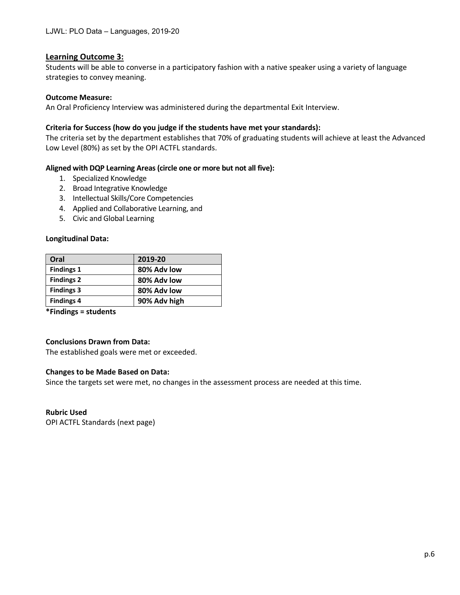## **Learning Outcome 3:**

Students will be able to converse in a participatory fashion with a native speaker using a variety of language strategies to convey meaning.

## **Outcome Measure:**

An Oral Proficiency Interview was administered during the departmental Exit Interview.

## **Criteria for Success (how do you judge if the students have met your standards):**

The criteria set by the department establishes that 70% of graduating students will achieve at least the Advanced Low Level (80%) as set by the OPI ACTFL standards.

## **Aligned with DQP Learning Areas (circle one or more but not all five):**

- 1. Specialized Knowledge
- 2. Broad Integrative Knowledge
- 3. Intellectual Skills/Core Competencies
- 4. Applied and Collaborative Learning, and
- 5. Civic and Global Learning

## **Longitudinal Data:**

| Oral              | 2019-20      |
|-------------------|--------------|
| <b>Findings 1</b> | 80% Adv low  |
| <b>Findings 2</b> | 80% Adv low  |
| <b>Findings 3</b> | 80% Adv low  |
| <b>Findings 4</b> | 90% Adv high |

**\*Findings = students**

## **Conclusions Drawn from Data:**

The established goals were met or exceeded.

## **Changes to be Made Based on Data:**

Since the targets set were met, no changes in the assessment process are needed at this time.

### **Rubric Used**

OPI ACTFL Standards (next page)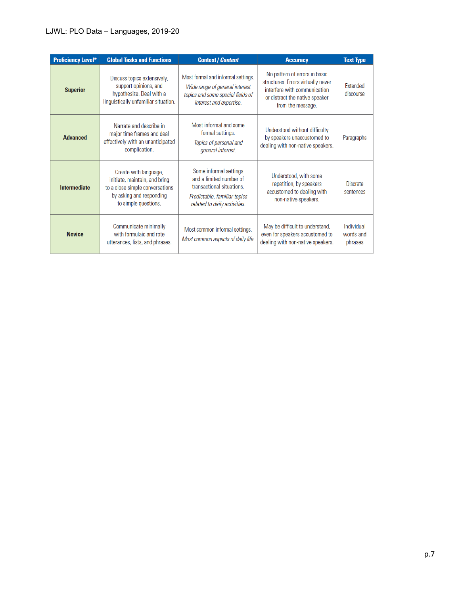## LJWL: PLO Data – Languages, 2019-20

| <b>Proficiency Level*</b> | <b>Global Tasks and Functions</b>                                                                                                             | <b>Context / Content</b>                                                                                                                       | <b>Accuracy</b>                                                                                                                                            | <b>Text Type</b>                   |
|---------------------------|-----------------------------------------------------------------------------------------------------------------------------------------------|------------------------------------------------------------------------------------------------------------------------------------------------|------------------------------------------------------------------------------------------------------------------------------------------------------------|------------------------------------|
| <b>Superior</b>           | Discuss topics extensively,<br>support opinions, and<br>hypothesize. Deal with a<br>linguistically unfamiliar situation.                      | Most formal and informal settings.<br>Wide range of general interest<br>topics and some special fields of<br>interest and expertise.           | No pattern of errors in basic<br>structures. Errors virtually never<br>interfere with communication<br>or distract the native speaker<br>from the message. | <b>Extended</b><br>discourse       |
| <b>Advanced</b>           | Narrate and describe in<br>major time frames and deal<br>effectively with an unanticipated<br>complication.                                   | Most informal and some<br>formal settings.<br>Topics of personal and<br>general interest.                                                      | Understood without difficulty<br>by speakers unaccustomed to<br>dealing with non-native speakers.                                                          | Paragraphs                         |
| <b>Intermediate</b>       | Create with language,<br>initiate, maintain, and bring<br>to a close simple conversations<br>by asking and responding<br>to simple questions. | Some informal settings<br>and a limited number of<br>transactional situations.<br>Predictable, familiar topics<br>related to daily activities. | Understood, with some<br>repetition, by speakers<br>accustomed to dealing with<br>non-native speakers.                                                     | <b>Discrete</b><br>sentences       |
| <b>Novice</b>             | Communicate minimally<br>with formulaic and rote<br>utterances, lists, and phrases.                                                           | Most common informal settings.<br>Most common aspects of daily life.                                                                           | May be difficult to understand,<br>even for speakers accustomed to<br>dealing with non-native speakers.                                                    | Individual<br>words and<br>phrases |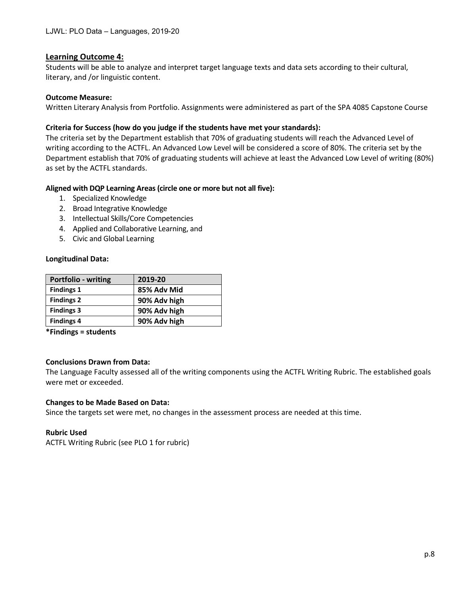## **Learning Outcome 4:**

Students will be able to analyze and interpret target language texts and data sets according to their cultural, literary, and /or linguistic content.

## **Outcome Measure:**

Written Literary Analysis from Portfolio. Assignments were administered as part of the SPA 4085 Capstone Course

## **Criteria for Success (how do you judge if the students have met your standards):**

The criteria set by the Department establish that 70% of graduating students will reach the Advanced Level of writing according to the ACTFL. An Advanced Low Level will be considered a score of 80%. The criteria set by the Department establish that 70% of graduating students will achieve at least the Advanced Low Level of writing (80%) as set by the ACTFL standards.

## **Aligned with DQP Learning Areas (circle one or more but not all five):**

- 1. Specialized Knowledge
- 2. Broad Integrative Knowledge
- 3. Intellectual Skills/Core Competencies
- 4. Applied and Collaborative Learning, and
- 5. Civic and Global Learning

## **Longitudinal Data:**

| <b>Portfolio - writing</b> | 2019-20      |
|----------------------------|--------------|
| <b>Findings 1</b>          | 85% Adv Mid  |
| <b>Findings 2</b>          | 90% Adv high |
| <b>Findings 3</b>          | 90% Adv high |
| <b>Findings 4</b>          | 90% Adv high |

**\*Findings = students**

## **Conclusions Drawn from Data:**

The Language Faculty assessed all of the writing components using the ACTFL Writing Rubric. The established goals were met or exceeded.

## **Changes to be Made Based on Data:**

Since the targets set were met, no changes in the assessment process are needed at this time.

## **Rubric Used**

ACTFL Writing Rubric (see PLO 1 for rubric)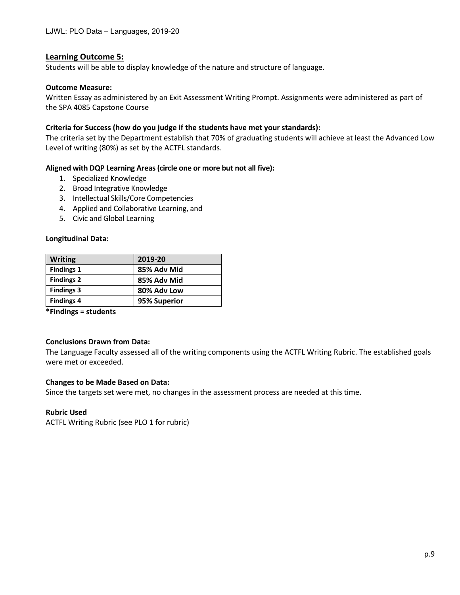## **Learning Outcome 5:**

Students will be able to display knowledge of the nature and structure of language.

## **Outcome Measure:**

Written Essay as administered by an Exit Assessment Writing Prompt. Assignments were administered as part of the SPA 4085 Capstone Course

## **Criteria for Success (how do you judge if the students have met your standards):**

The criteria set by the Department establish that 70% of graduating students will achieve at least the Advanced Low Level of writing (80%) as set by the ACTFL standards.

## **Aligned with DQP Learning Areas (circle one or more but not all five):**

- 1. Specialized Knowledge
- 2. Broad Integrative Knowledge
- 3. Intellectual Skills/Core Competencies
- 4. Applied and Collaborative Learning, and
- 5. Civic and Global Learning

### **Longitudinal Data:**

| <b>Writing</b>    | 2019-20      |
|-------------------|--------------|
| <b>Findings 1</b> | 85% Adv Mid  |
| <b>Findings 2</b> | 85% Adv Mid  |
| <b>Findings 3</b> | 80% Adv Low  |
| <b>Findings 4</b> | 95% Superior |

**\*Findings = students**

### **Conclusions Drawn from Data:**

The Language Faculty assessed all of the writing components using the ACTFL Writing Rubric. The established goals were met or exceeded.

### **Changes to be Made Based on Data:**

Since the targets set were met, no changes in the assessment process are needed at this time.

### **Rubric Used**

ACTFL Writing Rubric (see PLO 1 for rubric)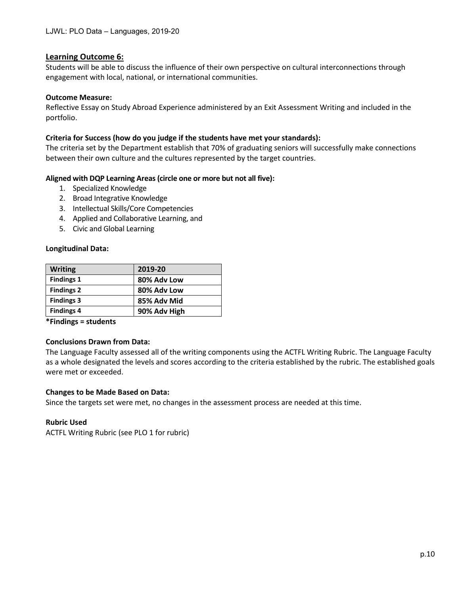## **Learning Outcome 6:**

Students will be able to discuss the influence of their own perspective on cultural interconnections through engagement with local, national, or international communities.

## **Outcome Measure:**

Reflective Essay on Study Abroad Experience administered by an Exit Assessment Writing and included in the portfolio.

## **Criteria for Success (how do you judge if the students have met your standards):**

The criteria set by the Department establish that 70% of graduating seniors will successfully make connections between their own culture and the cultures represented by the target countries.

## **Aligned with DQP Learning Areas (circle one or more but not all five):**

- 1. Specialized Knowledge
- 2. Broad Integrative Knowledge
- 3. Intellectual Skills/Core Competencies
- 4. Applied and Collaborative Learning, and
- 5. Civic and Global Learning

## **Longitudinal Data:**

| <b>Writing</b>    | 2019-20      |
|-------------------|--------------|
| <b>Findings 1</b> | 80% Adv Low  |
| <b>Findings 2</b> | 80% Adv Low  |
| <b>Findings 3</b> | 85% Adv Mid  |
| <b>Findings 4</b> | 90% Adv High |

**\*Findings = students**

## **Conclusions Drawn from Data:**

The Language Faculty assessed all of the writing components using the ACTFL Writing Rubric. The Language Faculty as a whole designated the levels and scores according to the criteria established by the rubric. The established goals were met or exceeded.

## **Changes to be Made Based on Data:**

Since the targets set were met, no changes in the assessment process are needed at this time.

## **Rubric Used**

ACTFL Writing Rubric (see PLO 1 for rubric)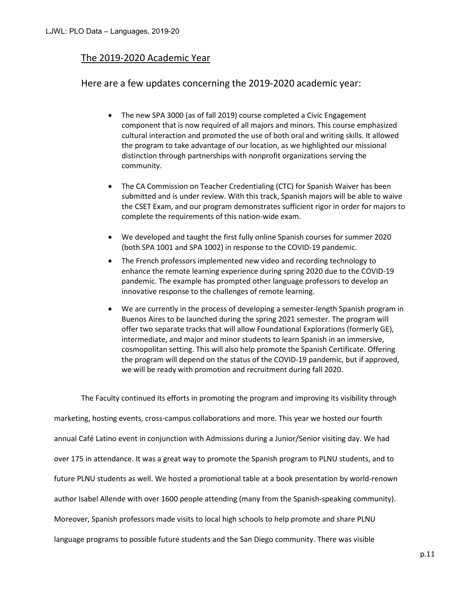## The 2019-2020 Academic Year

## Here are a few updates concerning the 2019-2020 academic year:

- The new SPA 3000 (as of fall 2019) course completed a Civic Engagement component that is now required of all majors and minors. This course emphasized cultural interaction and promoted the use of both oral and writing skills. It allowed the program to take advantage of our location, as we highlighted our missional distinction through partnerships with nonprofit organizations serving the community.
- The CA Commission on Teacher Credentialing (CTC) for Spanish Waiver has been submitted and is under review. With this track, Spanish majors will be able to waive the CSET Exam, and our program demonstrates sufficient rigor in order for majors to complete the requirements of this nation-wide exam.
- We developed and taught the first fully online Spanish courses for summer 2020 (both SPA 1001 and SPA 1002) in response to the COVID-19 pandemic.
- The French professors implemented new video and recording technology to enhance the remote learning experience during spring 2020 due to the COVID-19 pandemic. The example has prompted other language professors to develop an innovative response to the challenges of remote learning.
- We are currently in the process of developing a semester-length Spanish program in Buenos Aires to be launched during the spring 2021 semester. The program will offer two separate tracks that will allow Foundational Explorations (formerly GE), intermediate, and major and minor students to learn Spanish in an immersive, cosmopolitan setting. This will also help promote the Spanish Certificate. Offering the program will depend on the status of the COVID-19 pandemic, but if approved, we will be ready with promotion and recruitment during fall 2020.

The Faculty continued its efforts in promoting the program and improving its visibility through marketing, hosting events, cross-campus collaborations and more. This year we hosted our fourth annual Café Latino event in conjunction with Admissions during a Junior/Senior visiting day. We had over 175 in attendance. It was a great way to promote the Spanish program to PLNU students, and to future PLNU students as well. We hosted a promotional table at a book presentation by world-renown author Isabel Allende with over 1600 people attending (many from the Spanish-speaking community). Moreover, Spanish professors made visits to local high schools to help promote and share PLNU language programs to possible future students and the San Diego community. There was visible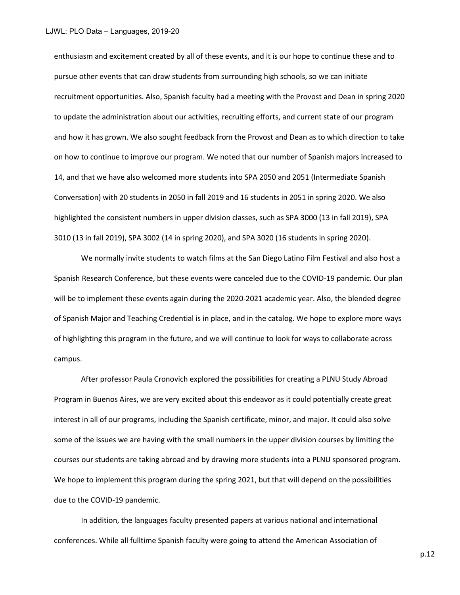enthusiasm and excitement created by all of these events, and it is our hope to continue these and to pursue other events that can draw students from surrounding high schools, so we can initiate recruitment opportunities. Also, Spanish faculty had a meeting with the Provost and Dean in spring 2020 to update the administration about our activities, recruiting efforts, and current state of our program and how it has grown. We also sought feedback from the Provost and Dean as to which direction to take on how to continue to improve our program. We noted that our number of Spanish majors increased to 14, and that we have also welcomed more students into SPA 2050 and 2051 (Intermediate Spanish Conversation) with 20 students in 2050 in fall 2019 and 16 students in 2051 in spring 2020. We also highlighted the consistent numbers in upper division classes, such as SPA 3000 (13 in fall 2019), SPA 3010 (13 in fall 2019), SPA 3002 (14 in spring 2020), and SPA 3020 (16 students in spring 2020).

We normally invite students to watch films at the San Diego Latino Film Festival and also host a Spanish Research Conference, but these events were canceled due to the COVID-19 pandemic. Our plan will be to implement these events again during the 2020-2021 academic year. Also, the blended degree of Spanish Major and Teaching Credential is in place, and in the catalog. We hope to explore more ways of highlighting this program in the future, and we will continue to look for ways to collaborate across campus.

After professor Paula Cronovich explored the possibilities for creating a PLNU Study Abroad Program in Buenos Aires, we are very excited about this endeavor as it could potentially create great interest in all of our programs, including the Spanish certificate, minor, and major. It could also solve some of the issues we are having with the small numbers in the upper division courses by limiting the courses our students are taking abroad and by drawing more students into a PLNU sponsored program. We hope to implement this program during the spring 2021, but that will depend on the possibilities due to the COVID-19 pandemic.

In addition, the languages faculty presented papers at various national and international conferences. While all fulltime Spanish faculty were going to attend the American Association of

p.12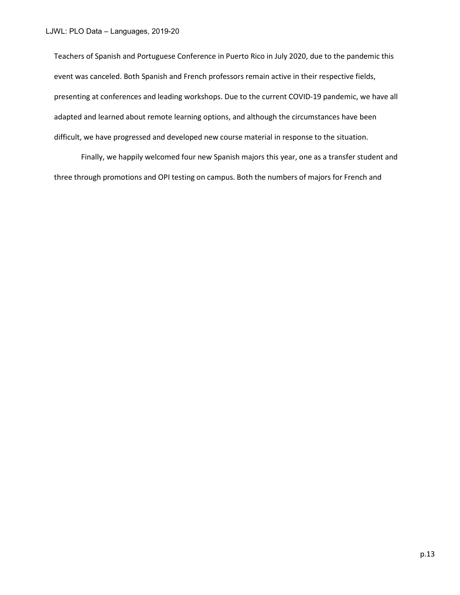Teachers of Spanish and Portuguese Conference in Puerto Rico in July 2020, due to the pandemic this event was canceled. Both Spanish and French professors remain active in their respective fields, presenting at conferences and leading workshops. Due to the current COVID-19 pandemic, we have all adapted and learned about remote learning options, and although the circumstances have been difficult, we have progressed and developed new course material in response to the situation.

Finally, we happily welcomed four new Spanish majors this year, one as a transfer student and three through promotions and OPI testing on campus. Both the numbers of majors for French and